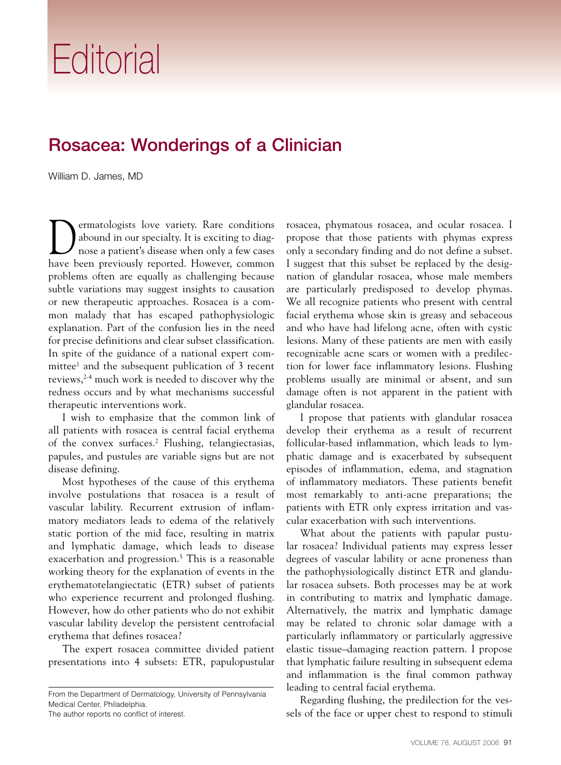## **Editorial**

## Rosacea: Wonderings of a Clinician

William D. James, MD

**D**ermatologists love variety. Rare conditions abound in our specialty. It is exciting to diag-<br>nose a patient's disease when only a few cases abound in our specialty. It is exciting to diagnose a patient's disease when only a few cases have been previously reported. However, common problems often are equally as challenging because subtle variations may suggest insights to causation or new therapeutic approaches. Rosacea is a common malady that has escaped pathophysiologic explanation. Part of the confusion lies in the need for precise definitions and clear subset classification. In spite of the guidance of a national expert committee<sup>1</sup> and the subsequent publication of 3 recent reviews,2-4 much work is needed to discover why the redness occurs and by what mechanisms successful therapeutic interventions work.

I wish to emphasize that the common link of all patients with rosacea is central facial erythema of the convex surfaces.2 Flushing, telangiectasias, papules, and pustules are variable signs but are not disease defining.

Most hypotheses of the cause of this erythema involve postulations that rosacea is a result of vascular lability. Recurrent extrusion of inflammatory mediators leads to edema of the relatively static portion of the mid face, resulting in matrix and lymphatic damage, which leads to disease exacerbation and progression.<sup>5</sup> This is a reasonable working theory for the explanation of events in the erythematotelangiectatic (ETR) subset of patients who experience recurrent and prolonged flushing. However, how do other patients who do not exhibit vascular lability develop the persistent centrofacial erythema that defines rosacea?

The expert rosacea committee divided patient presentations into 4 subsets: ETR, papulopustular

The author reports no conflict of interest.

rosacea, phymatous rosacea, and ocular rosacea. I propose that those patients with phymas express only a secondary finding and do not define a subset. I suggest that this subset be replaced by the designation of glandular rosacea, whose male members are particularly predisposed to develop phymas. We all recognize patients who present with central facial erythema whose skin is greasy and sebaceous and who have had lifelong acne, often with cystic lesions. Many of these patients are men with easily recognizable acne scars or women with a predilection for lower face inflammatory lesions. Flushing problems usually are minimal or absent, and sun damage often is not apparent in the patient with glandular rosacea.

I propose that patients with glandular rosacea develop their erythema as a result of recurrent follicular-based inflammation, which leads to lymphatic damage and is exacerbated by subsequent episodes of inflammation, edema, and stagnation of inflammatory mediators. These patients benefit most remarkably to anti-acne preparations; the patients with ETR only express irritation and vascular exacerbation with such interventions.

What about the patients with papular pustular rosacea? Individual patients may express lesser degrees of vascular lability or acne proneness than the pathophysiologically distinct ETR and glandular rosacea subsets. Both processes may be at work in contributing to matrix and lymphatic damage. Alternatively, the matrix and lymphatic damage may be related to chronic solar damage with a particularly inflammatory or particularly aggressive elastic tissue–damaging reaction pattern. I propose that lymphatic failure resulting in subsequent edema and inflammation is the final common pathway leading to central facial erythema.

Regarding flushing, the predilection for the vessels of the face or upper chest to respond to stimuli

From the Department of Dermatology, University of Pennsylvania Medical Center, Philadelphia.